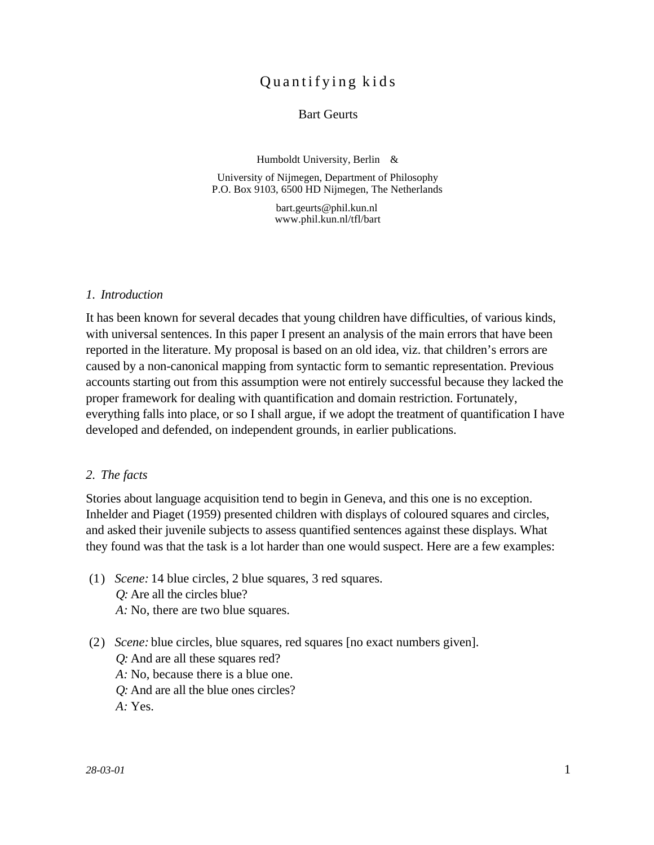# Quantifying kids

# Bart Geurts

Humboldt University, Berlin &

University of Nijmegen, Department of Philosophy P.O. Box 9103, 6500 HD Nijmegen, The Netherlands

> bart.geurts@phil.kun.nl www.phil.kun.nl/tfl/bart

#### *1. Introduction*

It has been known for several decades that young children have difficulties, of various kinds, with universal sentences. In this paper I present an analysis of the main errors that have been reported in the literature. My proposal is based on an old idea, viz. that children's errors are caused by a non-canonical mapping from syntactic form to semantic representation. Previous accounts starting out from this assumption were not entirely successful because they lacked the proper framework for dealing with quantification and domain restriction. Fortunately, everything falls into place, or so I shall argue, if we adopt the treatment of quantification I have developed and defended, on independent grounds, in earlier publications.

# *2. The facts*

Stories about language acquisition tend to begin in Geneva, and this one is no exception. Inhelder and Piaget (1959) presented children with displays of coloured squares and circles, and asked their juvenile subjects to assess quantified sentences against these displays. What they found was that the task is a lot harder than one would suspect. Here are a few examples:

- (1) *Scene:* 14 blue circles, 2 blue squares, 3 red squares. *Q:* Are all the circles blue? *A:* No, there are two blue squares.
- (2) *Scene:* blue circles, blue squares, red squares [no exact numbers given].
	- *Q:* And are all these squares red?
	- *A:* No, because there is a blue one.
	- *Q:* And are all the blue ones circles?
	- *A:* Yes.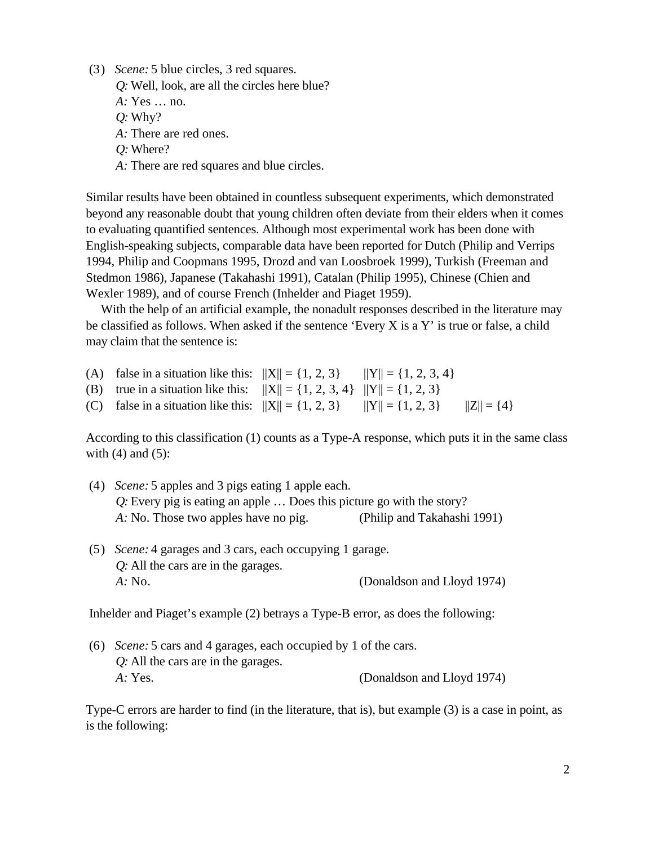- (3) *Scene:* 5 blue circles, 3 red squares.
	- *Q:* Well, look, are all the circles here blue?

*A:* Yes … no.

- *Q:* Why?
- *A:* There are red ones.
- *Q:* Where?
- *A:* There are red squares and blue circles.

Similar results have been obtained in countless subsequent experiments, which demonstrated beyond any reasonable doubt that young children often deviate from their elders when it comes to evaluating quantified sentences. Although most experimental work has been done with English-speaking subjects, comparable data have been reported for Dutch (Philip and Verrips 1994, Philip and Coopmans 1995, Drozd and van Loosbroek 1999), Turkish (Freeman and Stedmon 1986), Japanese (Takahashi 1991), Catalan (Philip 1995), Chinese (Chien and Wexler 1989), and of course French (Inhelder and Piaget 1959).

With the help of an artificial example, the nonadult responses described in the literature may be classified as follows. When asked if the sentence 'Every X is a Y' is true or false, a child may claim that the sentence is:

- (A) false in a situation like this:  $||X|| = \{1, 2, 3\}$   $||Y|| = \{1, 2, 3, 4\}$
- (B) true in a situation like this:  $||X|| = \{1, 2, 3, 4\}$   $||Y|| = \{1, 2, 3\}$
- (C) false in a situation like this:  $||X|| = \{1, 2, 3\}$   $||Y|| = \{1, 2, 3\}$   $||Z|| = \{4\}$

According to this classification (1) counts as a Type-A response, which puts it in the same class with  $(4)$  and  $(5)$ :

- (4) *Scene:* 5 apples and 3 pigs eating 1 apple each. *Q:* Every pig is eating an apple … Does this picture go with the story? *A:* No. Those two apples have no pig. (Philip and Takahashi 1991)
- (5) *Scene:* 4 garages and 3 cars, each occupying 1 garage. *Q:* All the cars are in the garages. *A:* No. (Donaldson and Lloyd 1974)

Inhelder and Piaget's example (2) betrays a Type-B error, as does the following:

(6) *Scene:* 5 cars and 4 garages, each occupied by 1 of the cars. *Q:* All the cars are in the garages. *A:* Yes. (Donaldson and Lloyd 1974)

Type-C errors are harder to find (in the literature, that is), but example (3) is a case in point, as is the following: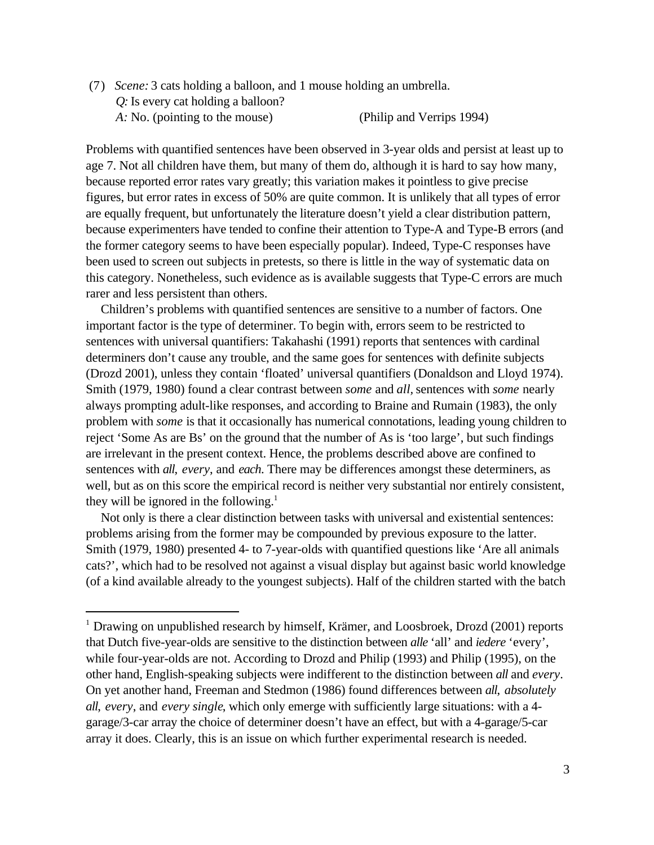(7) *Scene:* 3 cats holding a balloon, and 1 mouse holding an umbrella. *Q:* Is every cat holding a balloon? *A:* No. (pointing to the mouse) (Philip and Verrips 1994)

Problems with quantified sentences have been observed in 3-year olds and persist at least up to age 7. Not all children have them, but many of them do, although it is hard to say how many, because reported error rates vary greatly; this variation makes it pointless to give precise figures, but error rates in excess of 50% are quite common. It is unlikely that all types of error are equally frequent, but unfortunately the literature doesn't yield a clear distribution pattern, because experimenters have tended to confine their attention to Type-A and Type-B errors (and the former category seems to have been especially popular). Indeed, Type-C responses have been used to screen out subjects in pretests, so there is little in the way of systematic data on this category. Nonetheless, such evidence as is available suggests that Type-C errors are much rarer and less persistent than others.

Children's problems with quantified sentences are sensitive to a number of factors. One important factor is the type of determiner. To begin with, errors seem to be restricted to sentences with universal quantifiers: Takahashi (1991) reports that sentences with cardinal determiners don't cause any trouble, and the same goes for sentences with definite subjects (Drozd 2001), unless they contain 'floated' universal quantifiers (Donaldson and Lloyd 1974). Smith (1979, 1980) found a clear contrast between *some* and *all,* sentences with *some* nearly always prompting adult-like responses, and according to Braine and Rumain (1983), the only problem with *some* is that it occasionally has numerical connotations, leading young children to reject 'Some As are Bs' on the ground that the number of As is 'too large', but such findings are irrelevant in the present context. Hence, the problems described above are confined to sentences with *all*, *every*, and *each*. There may be differences amongst these determiners, as well, but as on this score the empirical record is neither very substantial nor entirely consistent, they will be ignored in the following.<sup>1</sup>

Not only is there a clear distinction between tasks with universal and existential sentences: problems arising from the former may be compounded by previous exposure to the latter. Smith (1979, 1980) presented 4- to 7-year-olds with quantified questions like 'Are all animals cats?', which had to be resolved not against a visual display but against basic world knowledge (of a kind available already to the youngest subjects). Half of the children started with the batch

<sup>&</sup>lt;sup>1</sup> Drawing on unpublished research by himself, Krämer, and Loosbroek, Drozd (2001) reports that Dutch five-year-olds are sensitive to the distinction between *alle* 'all' and *iedere* 'every', while four-year-olds are not. According to Drozd and Philip (1993) and Philip (1995), on the other hand, English-speaking subjects were indifferent to the distinction between *all* and *every*. On yet another hand, Freeman and Stedmon (1986) found differences between *all*, *absolutely all*, *every*, and *every single*, which only emerge with sufficiently large situations: with a 4 garage/3-car array the choice of determiner doesn't have an effect, but with a 4-garage/5-car array it does. Clearly, this is an issue on which further experimental research is needed.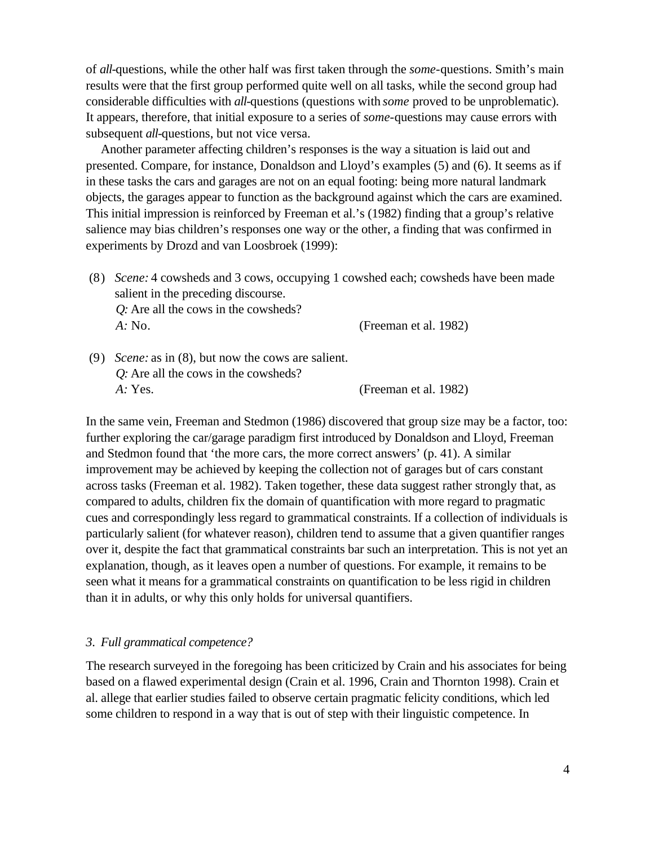of *all-*questions, while the other half was first taken through the *some-*questions. Smith's main results were that the first group performed quite well on all tasks, while the second group had considerable difficulties with *all-*questions (questions with *some* proved to be unproblematic). It appears, therefore, that initial exposure to a series of *some-*questions may cause errors with subsequent *all-*questions, but not vice versa.

Another parameter affecting children's responses is the way a situation is laid out and presented. Compare, for instance, Donaldson and Lloyd's examples (5) and (6). It seems as if in these tasks the cars and garages are not on an equal footing: being more natural landmark objects, the garages appear to function as the background against which the cars are examined. This initial impression is reinforced by Freeman et al.'s (1982) finding that a group's relative salience may bias children's responses one way or the other, a finding that was confirmed in experiments by Drozd and van Loosbroek (1999):

(8) *Scene:* 4 cowsheds and 3 cows, occupying 1 cowshed each; cowsheds have been made salient in the preceding discourse. *Q:* Are all the cows in the cowsheds?

*A:* No. (Freeman et al. 1982)

(9) *Scene:* as in (8), but now the cows are salient. *Q:* Are all the cows in the cowsheds? *A:* Yes. (Freeman et al. 1982)

In the same vein, Freeman and Stedmon (1986) discovered that group size may be a factor, too: further exploring the car/garage paradigm first introduced by Donaldson and Lloyd, Freeman and Stedmon found that 'the more cars, the more correct answers' (p. 41). A similar improvement may be achieved by keeping the collection not of garages but of cars constant across tasks (Freeman et al. 1982). Taken together, these data suggest rather strongly that, as compared to adults, children fix the domain of quantification with more regard to pragmatic cues and correspondingly less regard to grammatical constraints. If a collection of individuals is particularly salient (for whatever reason), children tend to assume that a given quantifier ranges over it, despite the fact that grammatical constraints bar such an interpretation. This is not yet an explanation, though, as it leaves open a number of questions. For example, it remains to be seen what it means for a grammatical constraints on quantification to be less rigid in children than it in adults, or why this only holds for universal quantifiers.

# *3. Full grammatical competence?*

The research surveyed in the foregoing has been criticized by Crain and his associates for being based on a flawed experimental design (Crain et al. 1996, Crain and Thornton 1998). Crain et al. allege that earlier studies failed to observe certain pragmatic felicity conditions, which led some children to respond in a way that is out of step with their linguistic competence. In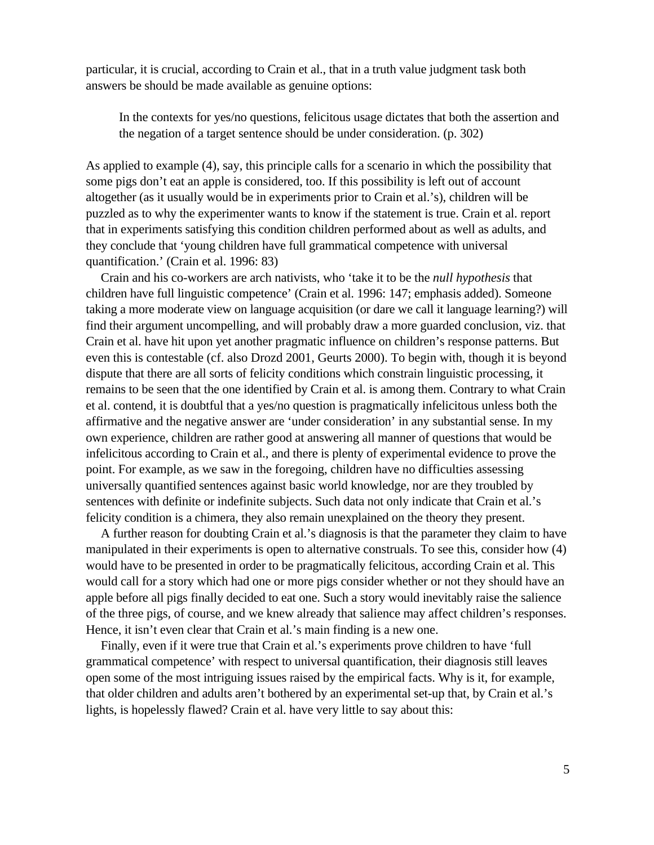particular, it is crucial, according to Crain et al., that in a truth value judgment task both answers be should be made available as genuine options:

In the contexts for yes/no questions, felicitous usage dictates that both the assertion and the negation of a target sentence should be under consideration. (p. 302)

As applied to example (4), say, this principle calls for a scenario in which the possibility that some pigs don't eat an apple is considered, too. If this possibility is left out of account altogether (as it usually would be in experiments prior to Crain et al.'s), children will be puzzled as to why the experimenter wants to know if the statement is true. Crain et al. report that in experiments satisfying this condition children performed about as well as adults, and they conclude that 'young children have full grammatical competence with universal quantification.' (Crain et al. 1996: 83)

Crain and his co-workers are arch nativists, who 'take it to be the *null hypothesis* that children have full linguistic competence' (Crain et al. 1996: 147; emphasis added). Someone taking a more moderate view on language acquisition (or dare we call it language learning?) will find their argument uncompelling, and will probably draw a more guarded conclusion, viz. that Crain et al. have hit upon yet another pragmatic influence on children's response patterns. But even this is contestable (cf. also Drozd 2001, Geurts 2000). To begin with, though it is beyond dispute that there are all sorts of felicity conditions which constrain linguistic processing, it remains to be seen that the one identified by Crain et al. is among them. Contrary to what Crain et al. contend, it is doubtful that a yes/no question is pragmatically infelicitous unless both the affirmative and the negative answer are 'under consideration' in any substantial sense. In my own experience, children are rather good at answering all manner of questions that would be infelicitous according to Crain et al., and there is plenty of experimental evidence to prove the point. For example, as we saw in the foregoing, children have no difficulties assessing universally quantified sentences against basic world knowledge, nor are they troubled by sentences with definite or indefinite subjects. Such data not only indicate that Crain et al.'s felicity condition is a chimera, they also remain unexplained on the theory they present.

A further reason for doubting Crain et al.'s diagnosis is that the parameter they claim to have manipulated in their experiments is open to alternative construals. To see this, consider how (4) would have to be presented in order to be pragmatically felicitous, according Crain et al. This would call for a story which had one or more pigs consider whether or not they should have an apple before all pigs finally decided to eat one. Such a story would inevitably raise the salience of the three pigs, of course, and we knew already that salience may affect children's responses. Hence, it isn't even clear that Crain et al.'s main finding is a new one.

Finally, even if it were true that Crain et al.'s experiments prove children to have 'full grammatical competence' with respect to universal quantification, their diagnosis still leaves open some of the most intriguing issues raised by the empirical facts. Why is it, for example, that older children and adults aren't bothered by an experimental set-up that, by Crain et al.'s lights, is hopelessly flawed? Crain et al. have very little to say about this: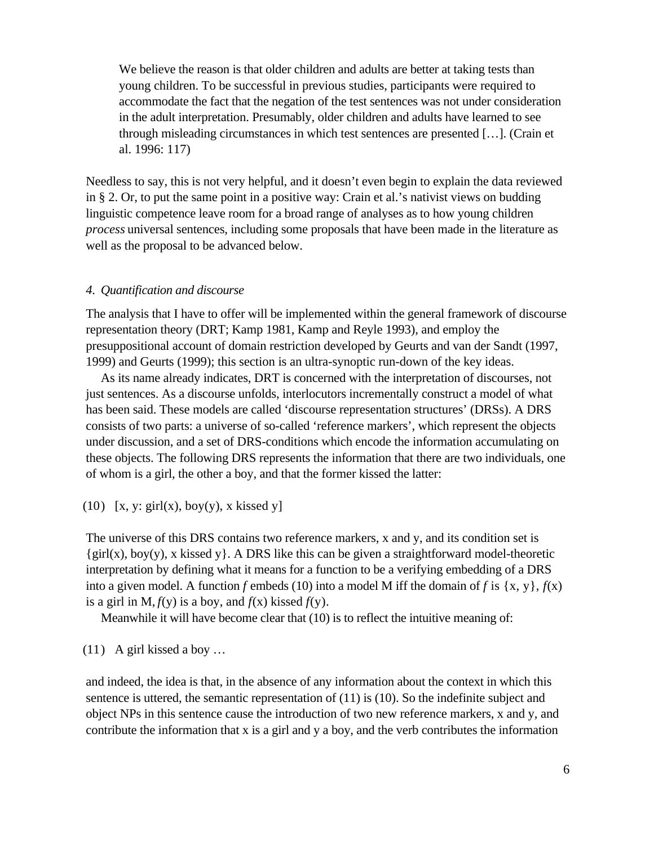We believe the reason is that older children and adults are better at taking tests than young children. To be successful in previous studies, participants were required to accommodate the fact that the negation of the test sentences was not under consideration in the adult interpretation. Presumably, older children and adults have learned to see through misleading circumstances in which test sentences are presented […]. (Crain et al. 1996: 117)

Needless to say, this is not very helpful, and it doesn't even begin to explain the data reviewed in § 2. Or, to put the same point in a positive way: Crain et al.'s nativist views on budding linguistic competence leave room for a broad range of analyses as to how young children *process* universal sentences, including some proposals that have been made in the literature as well as the proposal to be advanced below.

# *4. Quantification and discourse*

The analysis that I have to offer will be implemented within the general framework of discourse representation theory (DRT; Kamp 1981, Kamp and Reyle 1993), and employ the presuppositional account of domain restriction developed by Geurts and van der Sandt (1997, 1999) and Geurts (1999); this section is an ultra-synoptic run-down of the key ideas.

As its name already indicates, DRT is concerned with the interpretation of discourses, not just sentences. As a discourse unfolds, interlocutors incrementally construct a model of what has been said. These models are called 'discourse representation structures' (DRSs). A DRS consists of two parts: a universe of so-called 'reference markers', which represent the objects under discussion, and a set of DRS-conditions which encode the information accumulating on these objects. The following DRS represents the information that there are two individuals, one of whom is a girl, the other a boy, and that the former kissed the latter:

(10) [x, y: girl(x), boy(y), x kissed y]

The universe of this DRS contains two reference markers, x and y, and its condition set is  $\{girl(x), boy(y), x$  kissed y  $\}$ . A DRS like this can be given a straightforward model-theoretic interpretation by defining what it means for a function to be a verifying embedding of a DRS into a given model. A function *f* embeds (10) into a model M iff the domain of *f* is  $\{x, y\}$ ,  $f(x)$ is a girl in M,  $f(y)$  is a boy, and  $f(x)$  kissed  $f(y)$ .

Meanwhile it will have become clear that (10) is to reflect the intuitive meaning of:

(11) A girl kissed a boy …

and indeed, the idea is that, in the absence of any information about the context in which this sentence is uttered, the semantic representation of (11) is (10). So the indefinite subject and object NPs in this sentence cause the introduction of two new reference markers, x and y, and contribute the information that x is a girl and y a boy, and the verb contributes the information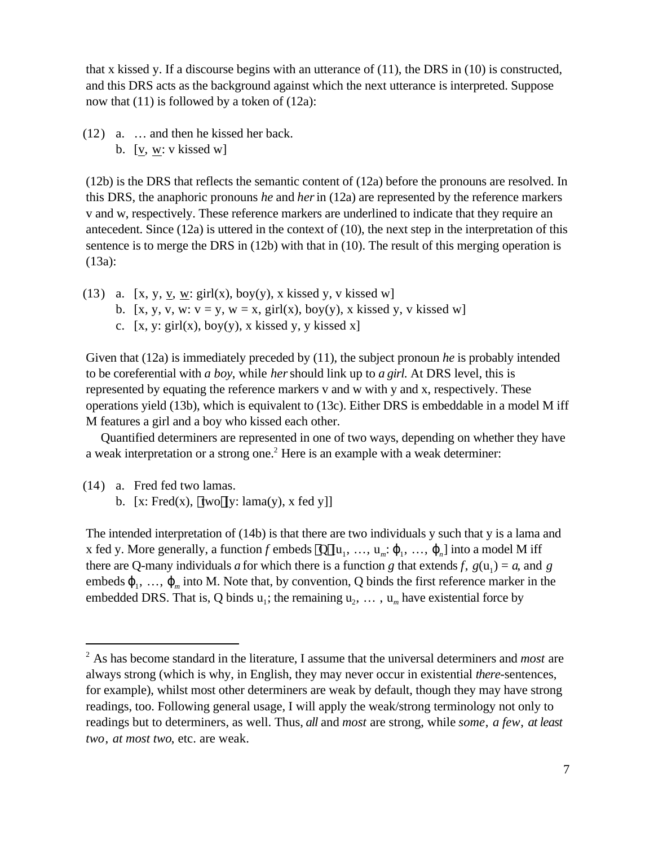that x kissed y. If a discourse begins with an utterance of (11), the DRS in (10) is constructed, and this DRS acts as the background against which the next utterance is interpreted. Suppose now that (11) is followed by a token of (12a):

(12) a. … and then he kissed her back.

b.  $[v, w: v$  kissed w]

(12b) is the DRS that reflects the semantic content of (12a) before the pronouns are resolved. In this DRS, the anaphoric pronouns *he* and *her* in (12a) are represented by the reference markers v and w, respectively. These reference markers are underlined to indicate that they require an antecedent. Since (12a) is uttered in the context of (10), the next step in the interpretation of this sentence is to merge the DRS in (12b) with that in (10). The result of this merging operation is (13a):

(13) a. [x, y, v, w: girl(x), boy(y), x kissed y, v kissed w] b. [x, y, v, w:  $v = y$ ,  $w = x$ , girl(x), boy(y), x kissed y, v kissed w] c.  $[x, y: girl(x), boy(y), x$  kissed y, y kissed x]

Given that (12a) is immediately preceded by (11), the subject pronoun *he* is probably intended to be coreferential with *a boy*, while *her* should link up to *a girl*. At DRS level, this is represented by equating the reference markers v and w with y and x, respectively. These operations yield (13b), which is equivalent to (13c). Either DRS is embeddable in a model M iff M features a girl and a boy who kissed each other.

Quantified determiners are represented in one of two ways, depending on whether they have a weak interpretation or a strong one.<sup>2</sup> Here is an example with a weak determiner:

(14) a. Fred fed two lamas. b.  $[x: Fred(x), two [y: lama(y), x fed y]]$ 

l

The intended interpretation of (14b) is that there are two individuals y such that y is a lama and x fed y. More generally, a function f embeds  $Q[u_1, ..., u_m:_{1}, ..., u_n]$  into a model M iff there are Q-many individuals *a* for which there is a function *g* that extends *f*,  $g(u_1) = a$ , and *g* embeds  $_1, \ldots, \ldots, n$  into M. Note that, by convention, Q binds the first reference marker in the embedded DRS. That is, Q binds  $u_1$ ; the remaining  $u_2, \ldots, u_m$  have existential force by

<sup>2</sup> As has become standard in the literature, I assume that the universal determiners and *most* are always strong (which is why, in English, they may never occur in existential *there*-sentences, for example), whilst most other determiners are weak by default, though they may have strong readings, too. Following general usage, I will apply the weak/strong terminology not only to readings but to determiners, as well. Thus, *all* and *most* are strong, while *some*, *a few*, *at least two*, *at most two*, etc. are weak.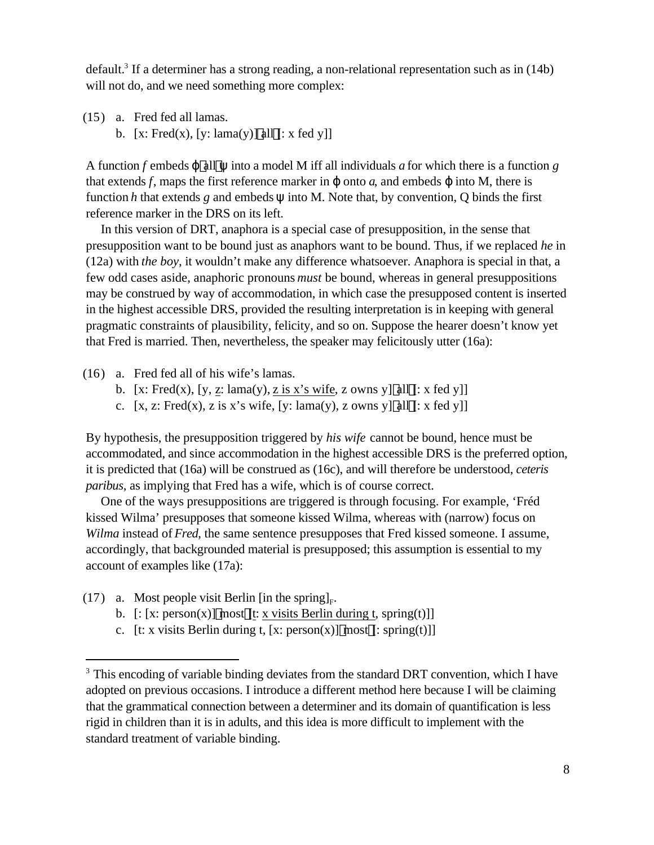default.<sup>3</sup> If a determiner has a strong reading, a non-relational representation such as in (14b) will not do, and we need something more complex:

(15) a. Fred fed all lamas. b.  $[x: Fred(x), [y: lama(y)]$  all  $[: x fed y]]$ 

A function *f* embeds all into a model M iff all individuals *a* for which there is a function *g* that extends  $f$ , maps the first reference marker in onto  $a$ , and embeds into M, there is function *h* that extends *g* and embeds into M. Note that, by convention, Q binds the first reference marker in the DRS on its left.

In this version of DRT, anaphora is a special case of presupposition, in the sense that presupposition want to be bound just as anaphors want to be bound. Thus, if we replaced *he* in (12a) with *the boy*, it wouldn't make any difference whatsoever. Anaphora is special in that, a few odd cases aside, anaphoric pronouns *must* be bound, whereas in general presuppositions may be construed by way of accommodation, in which case the presupposed content is inserted in the highest accessible DRS, provided the resulting interpretation is in keeping with general pragmatic constraints of plausibility, felicity, and so on. Suppose the hearer doesn't know yet that Fred is married. Then, nevertheless, the speaker may felicitously utter (16a):

(16) a. Fred fed all of his wife's lamas.

- b. [x: Fred(x), [y, z: lama(y), z is x's wife, z owns y] all [: x fed y]]
- c.  $[x, z: Fred(x), z is x's wife, [y: lama(y), z owns y] all[: x fed y]]$

By hypothesis, the presupposition triggered by *his wife* cannot be bound, hence must be accommodated, and since accommodation in the highest accessible DRS is the preferred option, it is predicted that (16a) will be construed as (16c), and will therefore be understood, *ceteris paribus*, as implying that Fred has a wife, which is of course correct.

One of the ways presuppositions are triggered is through focusing. For example, 'Fréd kissed Wilma' presupposes that someone kissed Wilma, whereas with (narrow) focus on *Wilma* instead of *Fred*, the same sentence presupposes that Fred kissed someone. I assume, accordingly, that backgrounded material is presupposed; this assumption is essential to my account of examples like (17a):

(17) a. Most people visit Berlin [in the spring]<sub>F</sub>.

- b.  $[: [x: person(x)] \text{ most } [t: x \text{ visits Berlin during } t, spring(t)]]$
- c. [t: x visits Berlin during t, [x: person(x)] most [: spring(t)]]

<sup>&</sup>lt;sup>3</sup> This encoding of variable binding deviates from the standard DRT convention, which I have adopted on previous occasions. I introduce a different method here because I will be claiming that the grammatical connection between a determiner and its domain of quantification is less rigid in children than it is in adults, and this idea is more difficult to implement with the standard treatment of variable binding.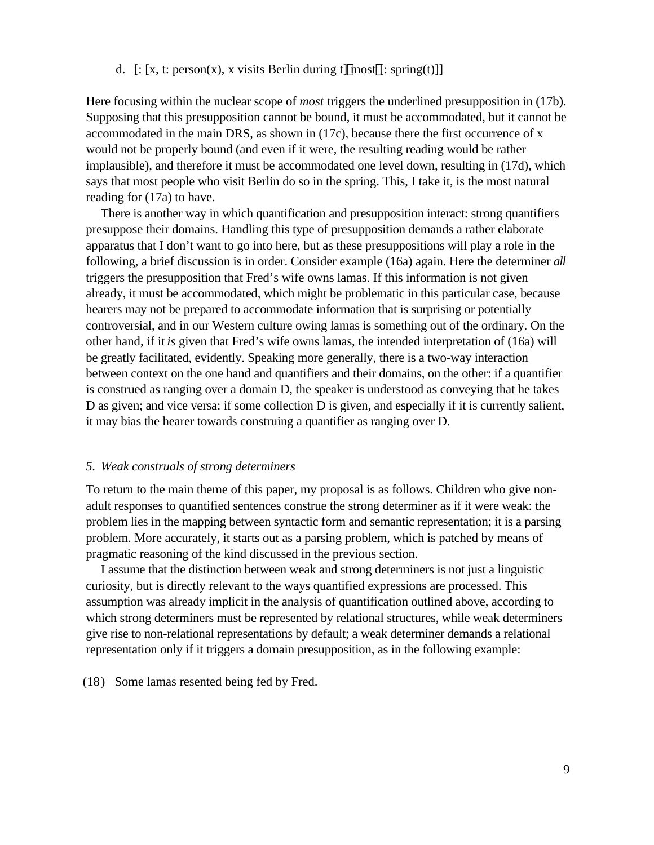## d.  $[: [x, t: person(x), x \text{ visits Berlin during } t] \text{ most }[:spring(t)]]$

Here focusing within the nuclear scope of *most* triggers the underlined presupposition in (17b). Supposing that this presupposition cannot be bound, it must be accommodated, but it cannot be accommodated in the main DRS, as shown in (17c), because there the first occurrence of x would not be properly bound (and even if it were, the resulting reading would be rather implausible), and therefore it must be accommodated one level down, resulting in (17d), which says that most people who visit Berlin do so in the spring. This, I take it, is the most natural reading for (17a) to have.

There is another way in which quantification and presupposition interact: strong quantifiers presuppose their domains. Handling this type of presupposition demands a rather elaborate apparatus that I don't want to go into here, but as these presuppositions will play a role in the following, a brief discussion is in order. Consider example (16a) again. Here the determiner *all* triggers the presupposition that Fred's wife owns lamas. If this information is not given already, it must be accommodated, which might be problematic in this particular case, because hearers may not be prepared to accommodate information that is surprising or potentially controversial, and in our Western culture owing lamas is something out of the ordinary. On the other hand, if it *is* given that Fred's wife owns lamas, the intended interpretation of (16a) will be greatly facilitated, evidently. Speaking more generally, there is a two-way interaction between context on the one hand and quantifiers and their domains, on the other: if a quantifier is construed as ranging over a domain D, the speaker is understood as conveying that he takes D as given; and vice versa: if some collection D is given, and especially if it is currently salient, it may bias the hearer towards construing a quantifier as ranging over D.

# *5. Weak construals of strong determiners*

To return to the main theme of this paper, my proposal is as follows. Children who give nonadult responses to quantified sentences construe the strong determiner as if it were weak: the problem lies in the mapping between syntactic form and semantic representation; it is a parsing problem. More accurately, it starts out as a parsing problem, which is patched by means of pragmatic reasoning of the kind discussed in the previous section.

I assume that the distinction between weak and strong determiners is not just a linguistic curiosity, but is directly relevant to the ways quantified expressions are processed. This assumption was already implicit in the analysis of quantification outlined above, according to which strong determiners must be represented by relational structures, while weak determiners give rise to non-relational representations by default; a weak determiner demands a relational representation only if it triggers a domain presupposition, as in the following example:

(18) Some lamas resented being fed by Fred.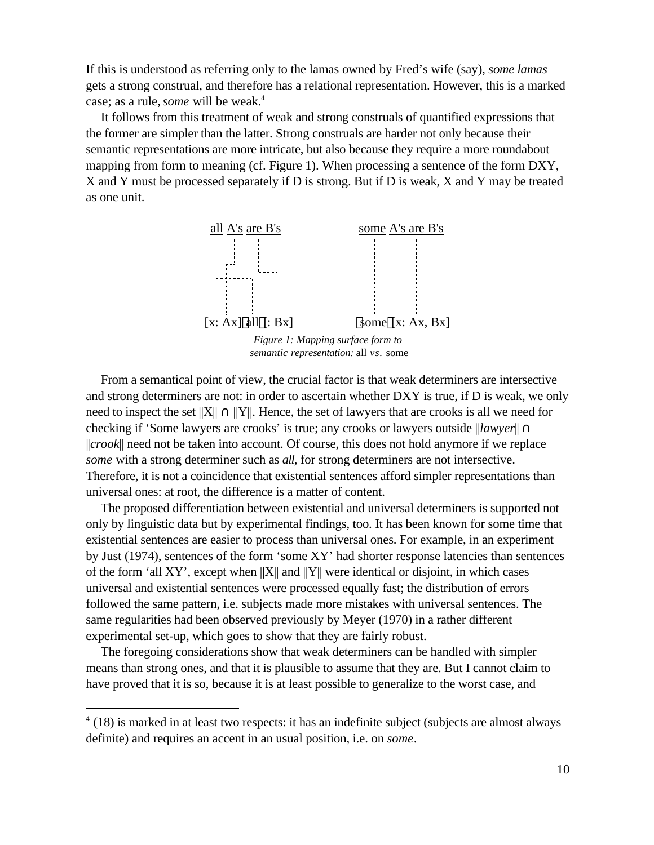If this is understood as referring only to the lamas owned by Fred's wife (say), *some lamas* gets a strong construal, and therefore has a relational representation. However, this is a marked case; as a rule, *some* will be weak.<sup>4</sup>

It follows from this treatment of weak and strong construals of quantified expressions that the former are simpler than the latter. Strong construals are harder not only because their semantic representations are more intricate, but also because they require a more roundabout mapping from form to meaning (cf. Figure 1). When processing a sentence of the form DXY, X and Y must be processed separately if D is strong. But if D is weak, X and Y may be treated as one unit.



From a semantical point of view, the crucial factor is that weak determiners are intersective and strong determiners are not: in order to ascertain whether DXY is true, if D is weak, we only need to inspect the set  $||X||$   $||Y||$ . Hence, the set of lawyers that are crooks is all we need for checking if 'Some lawyers are crooks' is true; any crooks or lawyers outside ||*lawyer*|| ||*crook*|| need not be taken into account. Of course, this does not hold anymore if we replace *some* with a strong determiner such as *all*, for strong determiners are not intersective. Therefore, it is not a coincidence that existential sentences afford simpler representations than universal ones: at root, the difference is a matter of content.

The proposed differentiation between existential and universal determiners is supported not only by linguistic data but by experimental findings, too. It has been known for some time that existential sentences are easier to process than universal ones. For example, in an experiment by Just (1974), sentences of the form 'some XY' had shorter response latencies than sentences of the form 'all XY', except when  $||X||$  and  $||Y||$  were identical or disjoint, in which cases universal and existential sentences were processed equally fast; the distribution of errors followed the same pattern, i.e. subjects made more mistakes with universal sentences. The same regularities had been observed previously by Meyer (1970) in a rather different experimental set-up, which goes to show that they are fairly robust.

The foregoing considerations show that weak determiners can be handled with simpler means than strong ones, and that it is plausible to assume that they are. But I cannot claim to have proved that it is so, because it is at least possible to generalize to the worst case, and

 $4(18)$  is marked in at least two respects: it has an indefinite subject (subjects are almost always definite) and requires an accent in an usual position, i.e. on *some*.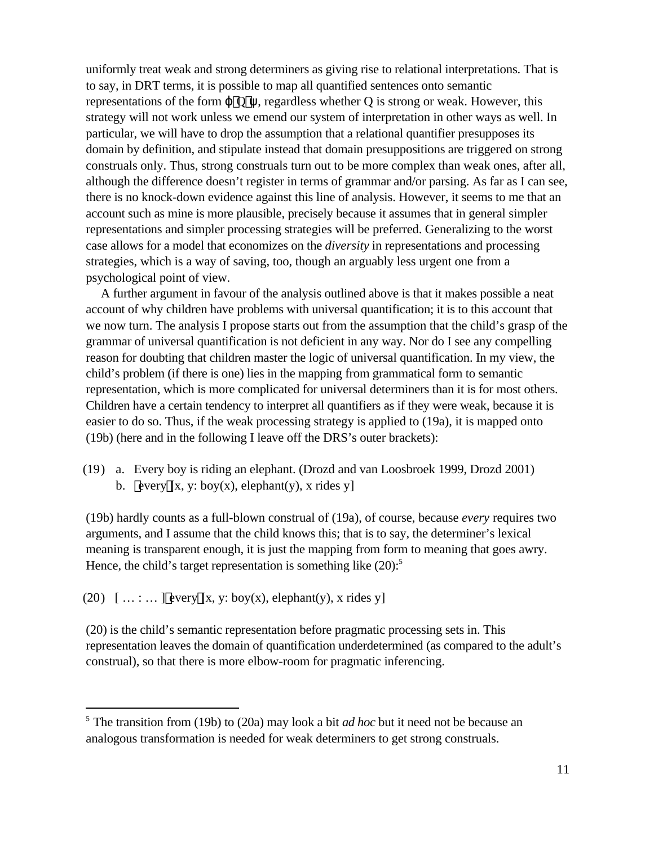uniformly treat weak and strong determiners as giving rise to relational interpretations. That is to say, in DRT terms, it is possible to map all quantified sentences onto semantic representations of the form  $\qquad$   $Q$ , regardless whether Q is strong or weak. However, this strategy will not work unless we emend our system of interpretation in other ways as well. In particular, we will have to drop the assumption that a relational quantifier presupposes its domain by definition, and stipulate instead that domain presuppositions are triggered on strong construals only. Thus, strong construals turn out to be more complex than weak ones, after all, although the difference doesn't register in terms of grammar and/or parsing. As far as I can see, there is no knock-down evidence against this line of analysis. However, it seems to me that an account such as mine is more plausible, precisely because it assumes that in general simpler representations and simpler processing strategies will be preferred. Generalizing to the worst case allows for a model that economizes on the *diversity* in representations and processing strategies, which is a way of saving, too, though an arguably less urgent one from a psychological point of view.

A further argument in favour of the analysis outlined above is that it makes possible a neat account of why children have problems with universal quantification; it is to this account that we now turn. The analysis I propose starts out from the assumption that the child's grasp of the grammar of universal quantification is not deficient in any way. Nor do I see any compelling reason for doubting that children master the logic of universal quantification. In my view, the child's problem (if there is one) lies in the mapping from grammatical form to semantic representation, which is more complicated for universal determiners than it is for most others. Children have a certain tendency to interpret all quantifiers as if they were weak, because it is easier to do so. Thus, if the weak processing strategy is applied to (19a), it is mapped onto (19b) (here and in the following I leave off the DRS's outer brackets):

(19) a. Every boy is riding an elephant. (Drozd and van Loosbroek 1999, Drozd 2001) b. every  $[x, y: boy(x), elephant(y), x$  rides y

(19b) hardly counts as a full-blown construal of (19a), of course, because *every* requires two arguments, and I assume that the child knows this; that is to say, the determiner's lexical meaning is transparent enough, it is just the mapping from form to meaning that goes awry. Hence, the child's target representation is something like  $(20)$ :<sup>5</sup>

(20)  $[\dots : \dots]$  every  $[x, y: boy(x), elephant(y), x$  rides y]

l

(20) is the child's semantic representation before pragmatic processing sets in. This representation leaves the domain of quantification underdetermined (as compared to the adult's construal), so that there is more elbow-room for pragmatic inferencing.

<sup>5</sup> The transition from (19b) to (20a) may look a bit *ad hoc* but it need not be because an analogous transformation is needed for weak determiners to get strong construals.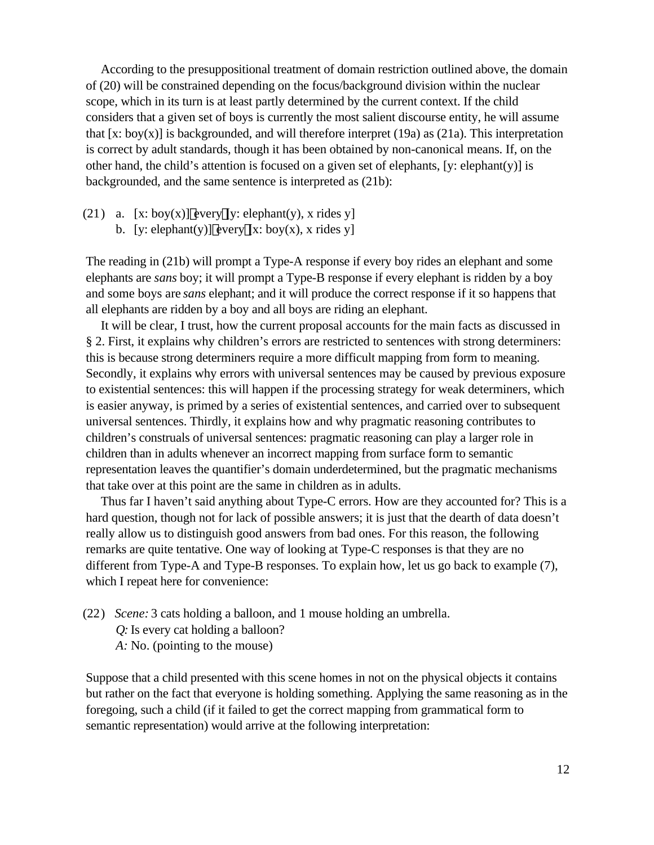According to the presuppositional treatment of domain restriction outlined above, the domain of (20) will be constrained depending on the focus/background division within the nuclear scope, which in its turn is at least partly determined by the current context. If the child considers that a given set of boys is currently the most salient discourse entity, he will assume that  $[x: boy(x)]$  is backgrounded, and will therefore interpret (19a) as (21a). This interpretation is correct by adult standards, though it has been obtained by non-canonical means. If, on the other hand, the child's attention is focused on a given set of elephants, [y: elephant(y)] is backgrounded, and the same sentence is interpreted as (21b):

(21) a. [x: boy(x)] every [y: elephant(y), x rides y]

b. [y: elephant(y)] every  $[x: boy(x), x$  rides y]

The reading in (21b) will prompt a Type-A response if every boy rides an elephant and some elephants are *sans* boy; it will prompt a Type-B response if every elephant is ridden by a boy and some boys are *sans* elephant; and it will produce the correct response if it so happens that all elephants are ridden by a boy and all boys are riding an elephant.

It will be clear, I trust, how the current proposal accounts for the main facts as discussed in § 2. First, it explains why children's errors are restricted to sentences with strong determiners: this is because strong determiners require a more difficult mapping from form to meaning. Secondly, it explains why errors with universal sentences may be caused by previous exposure to existential sentences: this will happen if the processing strategy for weak determiners, which is easier anyway, is primed by a series of existential sentences, and carried over to subsequent universal sentences. Thirdly, it explains how and why pragmatic reasoning contributes to children's construals of universal sentences: pragmatic reasoning can play a larger role in children than in adults whenever an incorrect mapping from surface form to semantic representation leaves the quantifier's domain underdetermined, but the pragmatic mechanisms that take over at this point are the same in children as in adults.

Thus far I haven't said anything about Type-C errors. How are they accounted for? This is a hard question, though not for lack of possible answers; it is just that the dearth of data doesn't really allow us to distinguish good answers from bad ones. For this reason, the following remarks are quite tentative. One way of looking at Type-C responses is that they are no different from Type-A and Type-B responses. To explain how, let us go back to example (7), which I repeat here for convenience:

(22) *Scene:* 3 cats holding a balloon, and 1 mouse holding an umbrella. *Q:* Is every cat holding a balloon? *A:* No. (pointing to the mouse)

Suppose that a child presented with this scene homes in not on the physical objects it contains but rather on the fact that everyone is holding something. Applying the same reasoning as in the foregoing, such a child (if it failed to get the correct mapping from grammatical form to semantic representation) would arrive at the following interpretation: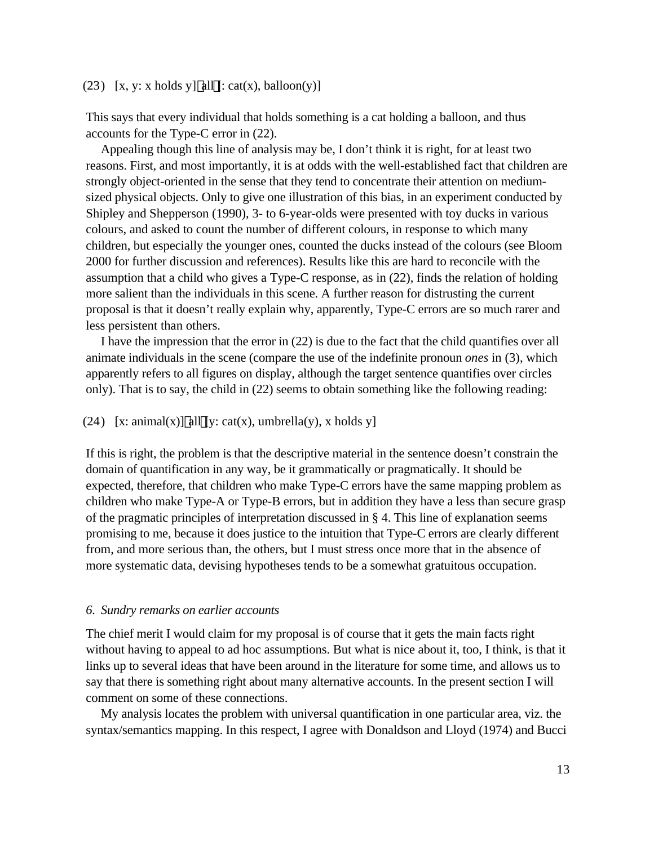### (23)  $[x, y: x \text{ holds } y]$  all  $[:cat(x), balloon(y)]$

This says that every individual that holds something is a cat holding a balloon, and thus accounts for the Type-C error in (22).

Appealing though this line of analysis may be, I don't think it is right, for at least two reasons. First, and most importantly, it is at odds with the well-established fact that children are strongly object-oriented in the sense that they tend to concentrate their attention on mediumsized physical objects. Only to give one illustration of this bias, in an experiment conducted by Shipley and Shepperson (1990), 3- to 6-year-olds were presented with toy ducks in various colours, and asked to count the number of different colours, in response to which many children, but especially the younger ones, counted the ducks instead of the colours (see Bloom 2000 for further discussion and references). Results like this are hard to reconcile with the assumption that a child who gives a Type-C response, as in (22), finds the relation of holding more salient than the individuals in this scene. A further reason for distrusting the current proposal is that it doesn't really explain why, apparently, Type-C errors are so much rarer and less persistent than others.

I have the impression that the error in (22) is due to the fact that the child quantifies over all animate individuals in the scene (compare the use of the indefinite pronoun *ones* in (3), which apparently refers to all figures on display, although the target sentence quantifies over circles only). That is to say, the child in (22) seems to obtain something like the following reading:

# (24) [x: animal(x)] all [y: cat(x), umbrella(y), x holds y]

If this is right, the problem is that the descriptive material in the sentence doesn't constrain the domain of quantification in any way, be it grammatically or pragmatically. It should be expected, therefore, that children who make Type-C errors have the same mapping problem as children who make Type-A or Type-B errors, but in addition they have a less than secure grasp of the pragmatic principles of interpretation discussed in § 4. This line of explanation seems promising to me, because it does justice to the intuition that Type-C errors are clearly different from, and more serious than, the others, but I must stress once more that in the absence of more systematic data, devising hypotheses tends to be a somewhat gratuitous occupation.

#### *6. Sundry remarks on earlier accounts*

The chief merit I would claim for my proposal is of course that it gets the main facts right without having to appeal to ad hoc assumptions. But what is nice about it, too, I think, is that it links up to several ideas that have been around in the literature for some time, and allows us to say that there is something right about many alternative accounts. In the present section I will comment on some of these connections.

My analysis locates the problem with universal quantification in one particular area, viz. the syntax/semantics mapping. In this respect, I agree with Donaldson and Lloyd (1974) and Bucci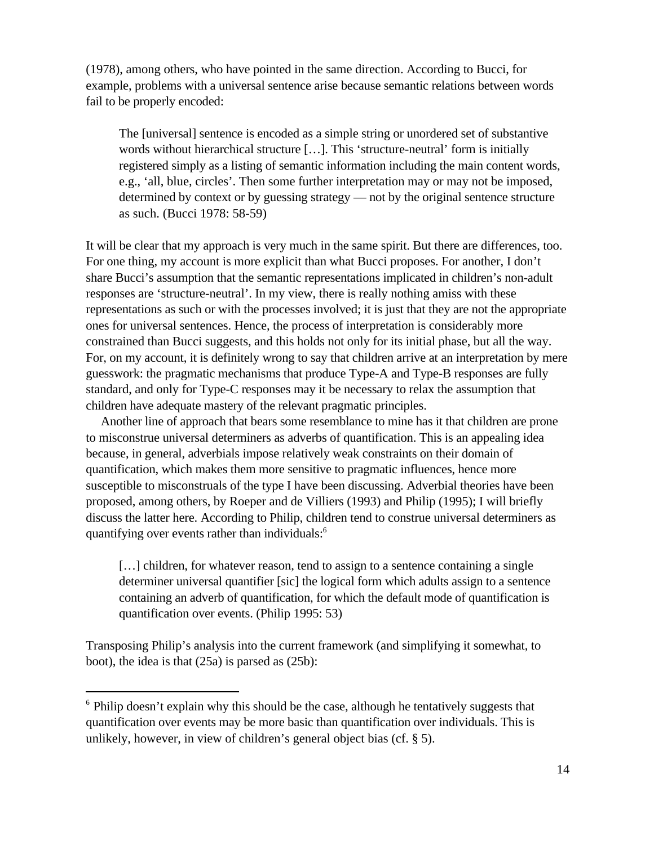(1978), among others, who have pointed in the same direction. According to Bucci, for example, problems with a universal sentence arise because semantic relations between words fail to be properly encoded:

The [universal] sentence is encoded as a simple string or unordered set of substantive words without hierarchical structure […]. This 'structure-neutral' form is initially registered simply as a listing of semantic information including the main content words, e.g., 'all, blue, circles'. Then some further interpretation may or may not be imposed, determined by context or by guessing strategy — not by the original sentence structure as such. (Bucci 1978: 58-59)

It will be clear that my approach is very much in the same spirit. But there are differences, too. For one thing, my account is more explicit than what Bucci proposes. For another, I don't share Bucci's assumption that the semantic representations implicated in children's non-adult responses are 'structure-neutral'. In my view, there is really nothing amiss with these representations as such or with the processes involved; it is just that they are not the appropriate ones for universal sentences. Hence, the process of interpretation is considerably more constrained than Bucci suggests, and this holds not only for its initial phase, but all the way. For, on my account, it is definitely wrong to say that children arrive at an interpretation by mere guesswork: the pragmatic mechanisms that produce Type-A and Type-B responses are fully standard, and only for Type-C responses may it be necessary to relax the assumption that children have adequate mastery of the relevant pragmatic principles.

Another line of approach that bears some resemblance to mine has it that children are prone to misconstrue universal determiners as adverbs of quantification. This is an appealing idea because, in general, adverbials impose relatively weak constraints on their domain of quantification, which makes them more sensitive to pragmatic influences, hence more susceptible to misconstruals of the type I have been discussing. Adverbial theories have been proposed, among others, by Roeper and de Villiers (1993) and Philip (1995); I will briefly discuss the latter here. According to Philip, children tend to construe universal determiners as quantifying over events rather than individuals:<sup>6</sup>

[...] children, for whatever reason, tend to assign to a sentence containing a single determiner universal quantifier [sic] the logical form which adults assign to a sentence containing an adverb of quantification, for which the default mode of quantification is quantification over events. (Philip 1995: 53)

Transposing Philip's analysis into the current framework (and simplifying it somewhat, to boot), the idea is that (25a) is parsed as (25b):

<sup>&</sup>lt;sup>6</sup> Philip doesn't explain why this should be the case, although he tentatively suggests that quantification over events may be more basic than quantification over individuals. This is unlikely, however, in view of children's general object bias (cf. § 5).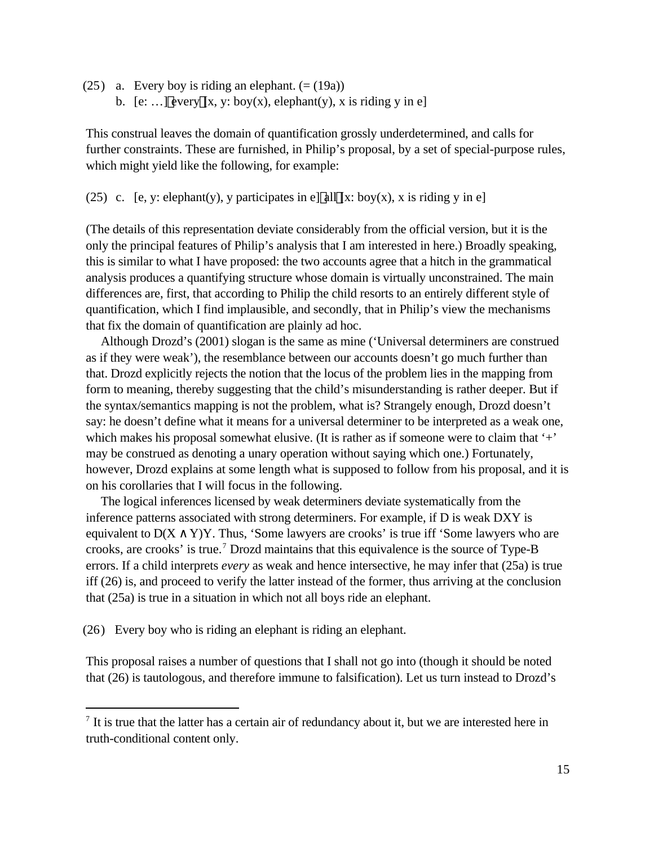(25) a. Every boy is riding an elephant.  $(=(19a))$ b. [e: ...] every  $[x, y: boy(x), elephant(y), x is riding y in e]$ 

This construal leaves the domain of quantification grossly underdetermined, and calls for further constraints. These are furnished, in Philip's proposal, by a set of special-purpose rules, which might yield like the following, for example:

(25) c. [e, y: elephant(y), y participates in e] all [x: boy(x), x is riding y in e]

(The details of this representation deviate considerably from the official version, but it is the only the principal features of Philip's analysis that I am interested in here.) Broadly speaking, this is similar to what I have proposed: the two accounts agree that a hitch in the grammatical analysis produces a quantifying structure whose domain is virtually unconstrained. The main differences are, first, that according to Philip the child resorts to an entirely different style of quantification, which I find implausible, and secondly, that in Philip's view the mechanisms that fix the domain of quantification are plainly ad hoc.

Although Drozd's (2001) slogan is the same as mine ('Universal determiners are construed as if they were weak'), the resemblance between our accounts doesn't go much further than that. Drozd explicitly rejects the notion that the locus of the problem lies in the mapping from form to meaning, thereby suggesting that the child's misunderstanding is rather deeper. But if the syntax/semantics mapping is not the problem, what is? Strangely enough, Drozd doesn't say: he doesn't define what it means for a universal determiner to be interpreted as a weak one, which makes his proposal somewhat elusive. (It is rather as if someone were to claim that '+' may be construed as denoting a unary operation without saying which one.) Fortunately, however, Drozd explains at some length what is supposed to follow from his proposal, and it is on his corollaries that I will focus in the following.

The logical inferences licensed by weak determiners deviate systematically from the inference patterns associated with strong determiners. For example, if D is weak DXY is equivalent to  $D(X \ Y)Y$ . Thus, 'Some lawyers are crooks' is true iff 'Some lawyers who are crooks, are crooks' is true.<sup>7</sup> Drozd maintains that this equivalence is the source of Type-B errors. If a child interprets *every* as weak and hence intersective, he may infer that (25a) is true iff (26) is, and proceed to verify the latter instead of the former, thus arriving at the conclusion that (25a) is true in a situation in which not all boys ride an elephant.

(26) Every boy who is riding an elephant is riding an elephant.

l

This proposal raises a number of questions that I shall not go into (though it should be noted that (26) is tautologous, and therefore immune to falsification). Let us turn instead to Drozd's

 $<sup>7</sup>$  It is true that the latter has a certain air of redundancy about it, but we are interested here in</sup> truth-conditional content only.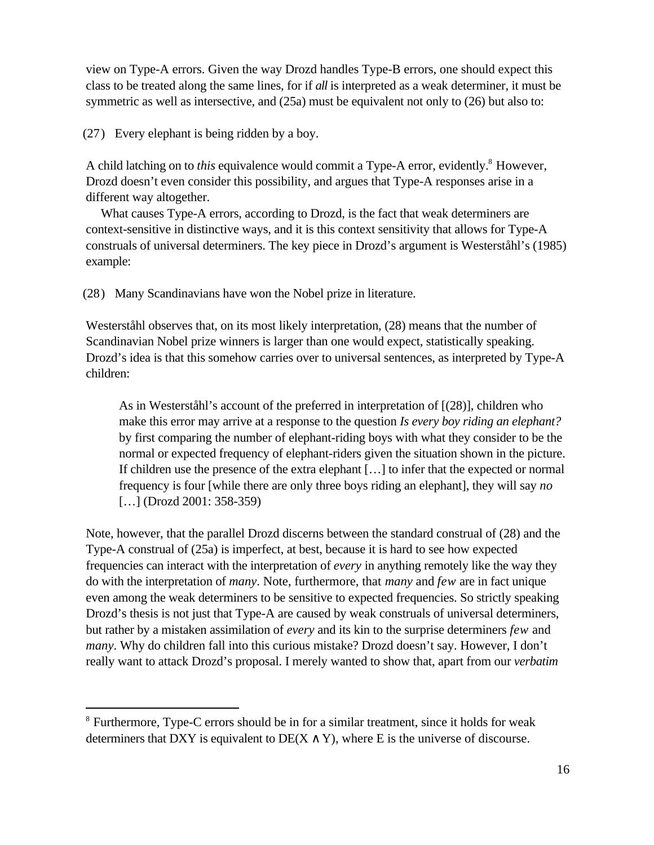view on Type-A errors. Given the way Drozd handles Type-B errors, one should expect this class to be treated along the same lines, for if *all* is interpreted as a weak determiner, it must be symmetric as well as intersective, and (25a) must be equivalent not only to (26) but also to:

(27) Every elephant is being ridden by a boy.

l

A child latching on to *this* equivalence would commit a Type-A error, evidently.<sup>8</sup> However, Drozd doesn't even consider this possibility, and argues that Type-A responses arise in a different way altogether.

What causes Type-A errors, according to Drozd, is the fact that weak determiners are context-sensitive in distinctive ways, and it is this context sensitivity that allows for Type-A construals of universal determiners. The key piece in Drozd's argument is Westerståhl's (1985) example:

(28) Many Scandinavians have won the Nobel prize in literature.

Westerståhl observes that, on its most likely interpretation, (28) means that the number of Scandinavian Nobel prize winners is larger than one would expect, statistically speaking. Drozd's idea is that this somehow carries over to universal sentences, as interpreted by Type-A children:

As in Westerståhl's account of the preferred in interpretation of [(28)], children who make this error may arrive at a response to the question *Is every boy riding an elephant?* by first comparing the number of elephant-riding boys with what they consider to be the normal or expected frequency of elephant-riders given the situation shown in the picture. If children use the presence of the extra elephant […] to infer that the expected or normal frequency is four [while there are only three boys riding an elephant], they will say *no* [...] (Drozd 2001: 358-359)

Note, however, that the parallel Drozd discerns between the standard construal of (28) and the Type-A construal of (25a) is imperfect, at best, because it is hard to see how expected frequencies can interact with the interpretation of *every* in anything remotely like the way they do with the interpretation of *many*. Note, furthermore, that *many* and *few* are in fact unique even among the weak determiners to be sensitive to expected frequencies. So strictly speaking Drozd's thesis is not just that Type-A are caused by weak construals of universal determiners, but rather by a mistaken assimilation of *every* and its kin to the surprise determiners *few* and *many*. Why do children fall into this curious mistake? Drozd doesn't say. However, I don't really want to attack Drozd's proposal. I merely wanted to show that, apart from our *verbatim*

<sup>&</sup>lt;sup>8</sup> Furthermore, Type-C errors should be in for a similar treatment, since it holds for weak determiners that DXY is equivalent to  $DE(X \ Y)$ , where E is the universe of discourse.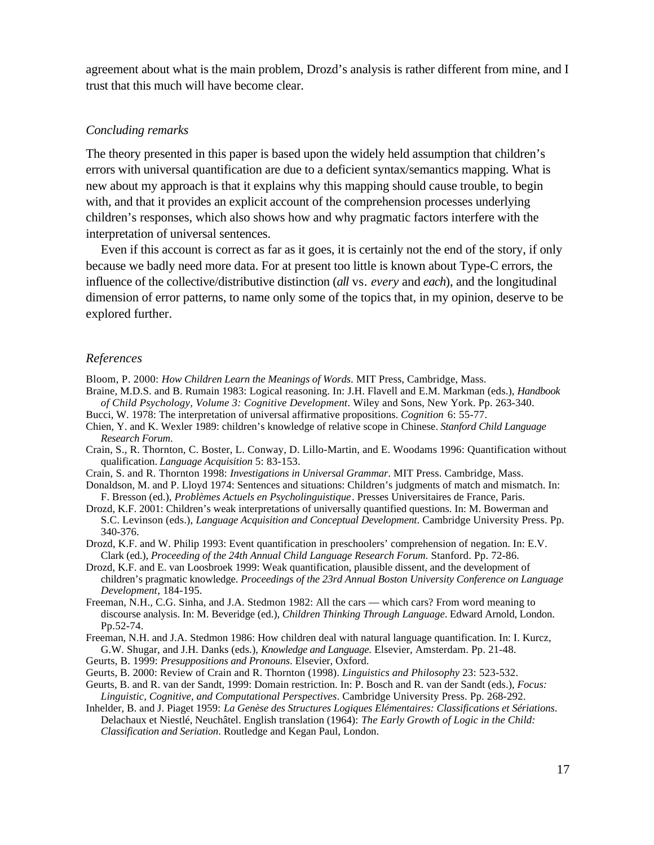agreement about what is the main problem, Drozd's analysis is rather different from mine, and I trust that this much will have become clear.

### *Concluding remarks*

The theory presented in this paper is based upon the widely held assumption that children's errors with universal quantification are due to a deficient syntax/semantics mapping. What is new about my approach is that it explains why this mapping should cause trouble, to begin with, and that it provides an explicit account of the comprehension processes underlying children's responses, which also shows how and why pragmatic factors interfere with the interpretation of universal sentences.

Even if this account is correct as far as it goes, it is certainly not the end of the story, if only because we badly need more data. For at present too little is known about Type-C errors, the influence of the collective/distributive distinction (*all* vs. *every* and *each*), and the longitudinal dimension of error patterns, to name only some of the topics that, in my opinion, deserve to be explored further.

### *References*

Bloom, P. 2000: *How Children Learn the Meanings of Words*. MIT Press, Cambridge, Mass.

- Braine, M.D.S. and B. Rumain 1983: Logical reasoning. In: J.H. Flavell and E.M. Markman (eds.), *Handbook of Child Psychology, Volume 3: Cognitive Development*. Wiley and Sons, New York. Pp. 263-340.
- Bucci, W. 1978: The interpretation of universal affirmative propositions. *Cognition* 6: 55-77.
- Chien, Y. and K. Wexler 1989: children's knowledge of relative scope in Chinese. *Stanford Child Language Research Forum*.
- Crain, S., R. Thornton, C. Boster, L. Conway, D. Lillo-Martin, and E. Woodams 1996: Quantification without qualification. *Language Acquisition* 5: 83-153.
- Crain, S. and R. Thornton 1998: *Investigations in Universal Grammar*. MIT Press. Cambridge, Mass.
- Donaldson, M. and P. Lloyd 1974: Sentences and situations: Children's judgments of match and mismatch. In: F. Bresson (ed.), *Problèmes Actuels en Psycholinguistique*. Presses Universitaires de France, Paris.
- Drozd, K.F. 2001: Children's weak interpretations of universally quantified questions. In: M. Bowerman and S.C. Levinson (eds.), *Language Acquisition and Conceptual Development*. Cambridge University Press. Pp. 340-376.

Drozd, K.F. and W. Philip 1993: Event quantification in preschoolers' comprehension of negation. In: E.V. Clark (ed.)*, Proceeding of the 24th Annual Child Language Research Forum*. Stanford. Pp. 72-86.

- Drozd, K.F. and E. van Loosbroek 1999: Weak quantification, plausible dissent, and the development of children's pragmatic knowledge. *Proceedings of the 23rd Annual Boston University Conference on Language Development*, 184-195.
- Freeman, N.H., C.G. Sinha, and J.A. Stedmon 1982: All the cars which cars? From word meaning to discourse analysis. In: M. Beveridge (ed.), *Children Thinking Through Language*. Edward Arnold, London. Pp.52-74.

Freeman, N.H. and J.A. Stedmon 1986: How children deal with natural language quantification. In: I. Kurcz, G.W. Shugar, and J.H. Danks (eds.), *Knowledge and Language*. Elsevier, Amsterdam. Pp. 21-48.

Geurts, B. 1999: *Presuppositions and Pronouns*. Elsevier, Oxford.

- Geurts, B. 2000: Review of Crain and R. Thornton (1998). *Linguistics and Philosophy* 23: 523-532.
- Geurts, B. and R. van der Sandt, 1999: Domain restriction. In: P. Bosch and R. van der Sandt (eds.), *Focus: Linguistic, Cognitive, and Computational Perspectives*. Cambridge University Press. Pp. 268-292.
- Inhelder, B. and J. Piaget 1959: *La Genèse des Structures Logiques Elémentaires: Classifications et Sériations*. Delachaux et Niestlé, Neuchâtel. English translation (1964): *The Early Growth of Logic in the Child: Classification and Seriation*. Routledge and Kegan Paul, London.